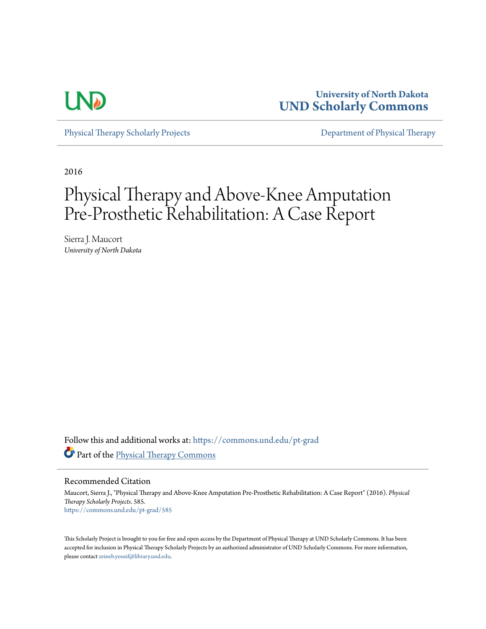

**University of North Dakota [UND Scholarly Commons](https://commons.und.edu?utm_source=commons.und.edu%2Fpt-grad%2F585&utm_medium=PDF&utm_campaign=PDFCoverPages)**

[Physical Therapy Scholarly Projects](https://commons.und.edu/pt-grad?utm_source=commons.und.edu%2Fpt-grad%2F585&utm_medium=PDF&utm_campaign=PDFCoverPages) [Department of Physical Therapy](https://commons.und.edu/pt?utm_source=commons.und.edu%2Fpt-grad%2F585&utm_medium=PDF&utm_campaign=PDFCoverPages)

2016

# Physical Therapy and Above-Knee Amputation Pre-Prosthetic Rehabilitation: A Case Report

Sierra J. Maucort *University of North Dakota*

Follow this and additional works at: [https://commons.und.edu/pt-grad](https://commons.und.edu/pt-grad?utm_source=commons.und.edu%2Fpt-grad%2F585&utm_medium=PDF&utm_campaign=PDFCoverPages) Part of the [Physical Therapy Commons](http://network.bepress.com/hgg/discipline/754?utm_source=commons.und.edu%2Fpt-grad%2F585&utm_medium=PDF&utm_campaign=PDFCoverPages)

Recommended Citation

Maucort, Sierra J., "Physical Therapy and Above-Knee Amputation Pre-Prosthetic Rehabilitation: A Case Report" (2016). *Physical Therapy Scholarly Projects*. 585. [https://commons.und.edu/pt-grad/585](https://commons.und.edu/pt-grad/585?utm_source=commons.und.edu%2Fpt-grad%2F585&utm_medium=PDF&utm_campaign=PDFCoverPages)

This Scholarly Project is brought to you for free and open access by the Department of Physical Therapy at UND Scholarly Commons. It has been accepted for inclusion in Physical Therapy Scholarly Projects by an authorized administrator of UND Scholarly Commons. For more information, please contact [zeineb.yousif@library.und.edu.](mailto:zeineb.yousif@library.und.edu)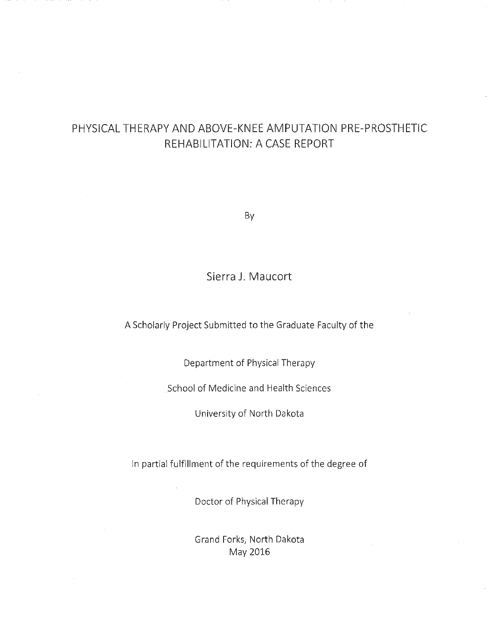# PHYSICAL THERAPY AND ABOVE-KNEE AMPUTATION PRE-PROSTHETIC REHABILITATION: A CASE REPORT

By

Sierra **J.** Maucort

A Scholarly Project Submitted to the Graduate Faculty of the

Department of Physical Therapy

School of Medicine and Health Sciences

University of North Dakota

In partial fulfillment of the requirements of the degree of

Doctor of Physical Therapy

Grand Forks, North Dakota May 2016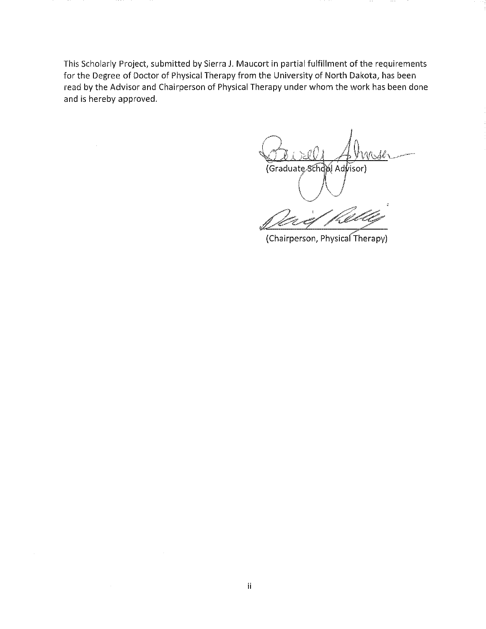This Scholarly Project, submitted by Sierra J. Maucort **in** partial fulfillment of the requirements for the Degree of Doctor of Physical Therapy from the University of North Dakota, has been read by the Advisor and Chairperson of Physical Therapy under whom the work has been done and is hereby approved.

(Graduate School Advisor)  $\bigcirc$   $\bigcirc$ 

Seriel Kelley

(Chairperson, Physical Therapy)

 $\bar{z}$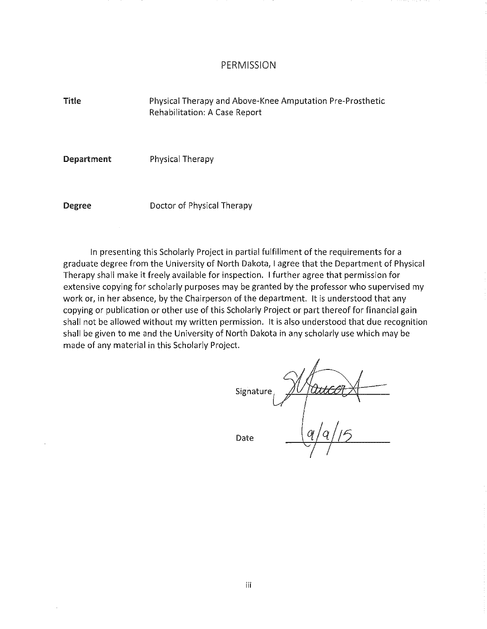#### PERMISSION

Title Physical Therapy and Above-Knee Amputation Pre-Prosthetic Rehabilitation: A Case Report

Department Physical Therapy

Degree

Doctor of Physical Therapy

In presenting this Scholarly Project in partial fulfillment of the requirements for a graduate degree from the University of North Dakota, I agree that the Department of Physical Therapy shall make it freely available for inspection. I further agree that permission for extensive copying for scholarly purposes may be granted by the professor who supervised my work or, in her absence, by the Chairperson of the department. It is understood that any copying or publication or other use of this Scholarly Project or part thereof for financial gain shall not be allowed without my written permission. **It** is also understood that due recognition shall be given to me and the University of North Dakota in any scholarly use which may be made of any material in this Scholarly Project.

Wancort Signature Date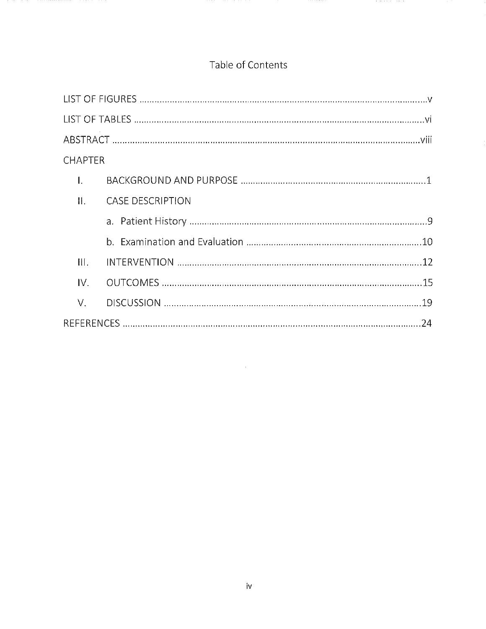# Table of Contents

| <b>CHAPTER</b>   |                         |  |
|------------------|-------------------------|--|
| 1.               |                         |  |
| $\prod$          | <b>CASE DESCRIPTION</b> |  |
|                  |                         |  |
|                  |                         |  |
| $\mathbf{III}$ . |                         |  |
| IV.              |                         |  |
| V.               |                         |  |
|                  |                         |  |

 $\mathcal{L}^{\text{max}}_{\text{max}}$  and  $\mathcal{L}^{\text{max}}_{\text{max}}$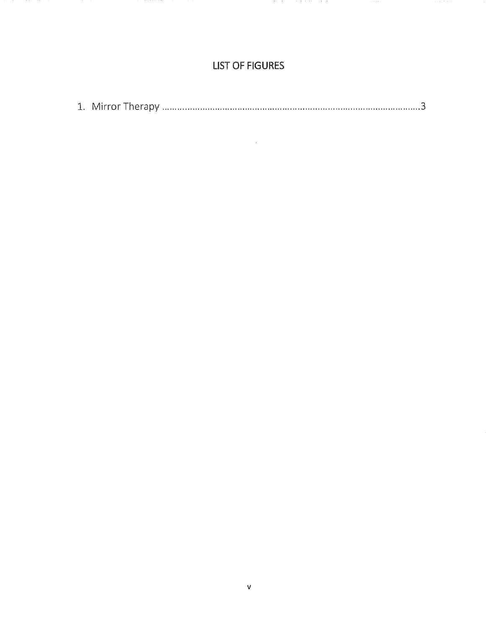### **LIST OF FIGURES**

|--|--|--|--|--|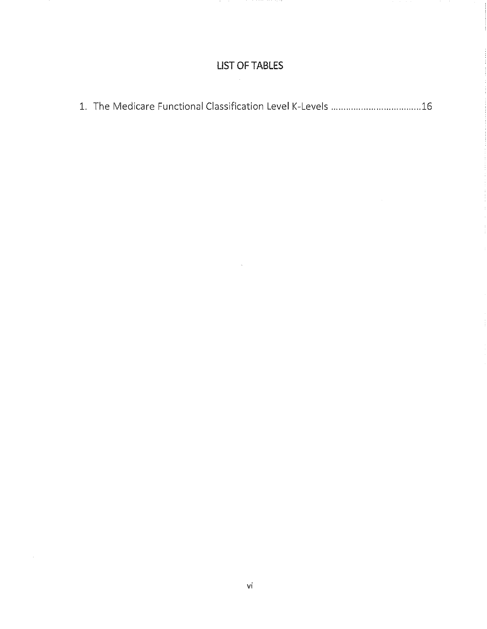# **LIST** OF TABLES

|--|--|--|--|--|--|

 $\bar{z}$ 

 $\sim 10^7$ 

 $\ddot{\phantom{a}}$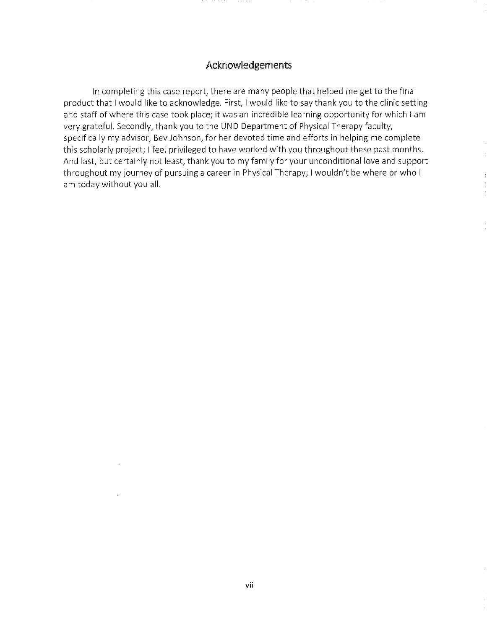### Acknowledgements

In completing this case report, there are many people that helped me get to the final product that I would like to acknowledge. First, I would like to say thank you to the clinic setting and staff of where this case took place; it was an incredible learning opportunity for which I am very grateful. Secondly, thank you to the UND Department of Physical Therapy faculty, specifically my advisor, Bev Johnson, for her devoted time and efforts in helping me complete this scholarly project; I feel privileged to have worked with you throughout these past months. And last, but certainly not least, thank you to my family for your unconditional love and support throughout my journey of pursuing a career in Physical Therapy; I wouldn't be where or who I am today without you all.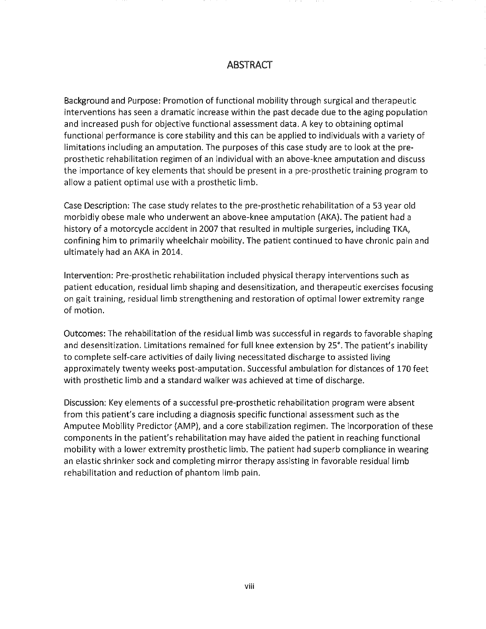### **ABSTRACT**

Background and Purpose: Promotion of functional mobility through surgical and therapeutic interventions has seen a dramatic increase within the past decade due to the aging population and increased push for objective functional assessment data, A key to obtaining optimal functional performance is core stability and this can be applied to individuals with a variety of limitations including an amputation, The purposes of this case study are to look at the preprosthetic rehabilitation regimen of an individual with an above-knee amputation and discuss the importance of key elements that should be present in a pre-prosthetic training program to allow a patient optimal use with a prosthetic limb,

Case Description: The case study relates to the pre-prosthetic rehabilitation of a 53 year old morbidly obese male who underwent an above-knee amputation (AKA), The patient had a history of a motorcycle accident in 2007 that resulted in multiple surgeries, including TKA, confining him to primarily wheelchair mobility, The patient continued to have chronic pain and ultimately had an AKA in 2014,

Intervention: Pre-prosthetic rehabilitation included physical therapy interventions such as patient education, residual limb shaping and desensitization, and therapeutic exercises focusing on gait training, residual limb strengthening and restoration of optimal lower extremity range of motion,

Outcomes: The rehabilitation of the residual limb was successful in regards to favorable shaping and desensitization, Limitations remained for full knee extension by 25°, The patient's inability to complete self-care activities of daily living necessitated discharge to assisted living approximately twenty weeks post-amputation, Successful ambulation for distances of 170 feet with prosthetic limb and a standard walker was achieved at time of discharge,

Discussion: Key elements of a successful pre-prosthetic rehabilitation program were absent from this patient's care including a diagnosis specific functional assessment such as the Amputee Mobility Predictor (AMP), and a core stabilization regimen, The incorporation of these components in the patient's rehabilitation may have aided the patient in reaching functional mobility with a lower extremity prosthetic limb, The patient had superb compliance in wearing an elastic shrinker sock and completing mirror therapy assisting in favorable residual limb rehabilitation and reduction of phantom limb pain,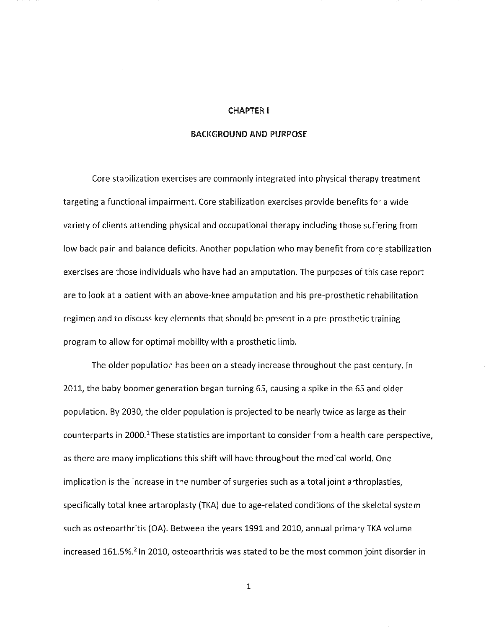#### CHAPTER I

#### BACKGROUND AND PURPOSE

Core stabilization exercises are commonly integrated into physical therapy treatment targeting a functional impairment. Core stabilization exercises provide benefits for a wide variety of clients attending physical and occupational therapy including those suffering from low back pain and balance deficits. Another population who may benefit from core stabilization exercises are those individuals who have had an amputation. The purposes of this case report are to look at a patient with an above-knee amputation and his pre-prosthetic rehabilitation regimen and to discuss key elements that should be present in a pre-prosthetic training program to allow for optimal mobility with a prosthetic limb.

The older population has been on a steady increase throughout the past century. In 2011, the baby boomer generation began turning 65, causing a spike in the 65 and older population. By 2030, the older population is projected to be nearly twice as large as their counterparts in 2000.<sup>1</sup> These statistics are important to consider from a health care perspective, as there are many implications this shift will have throughout the medical world. One implication is the increase in the number of surgeries such as a total joint arthroplasties, specifically total knee arthroplasty (TKA) due to age-related conditions of the skeletal system such as osteoarthritis (OA). Between the years 1991 and 2010, annual primary TKA volume increased 161.5%.<sup>2</sup> In 2010, osteoarthritis was stated to be the most common joint disorder in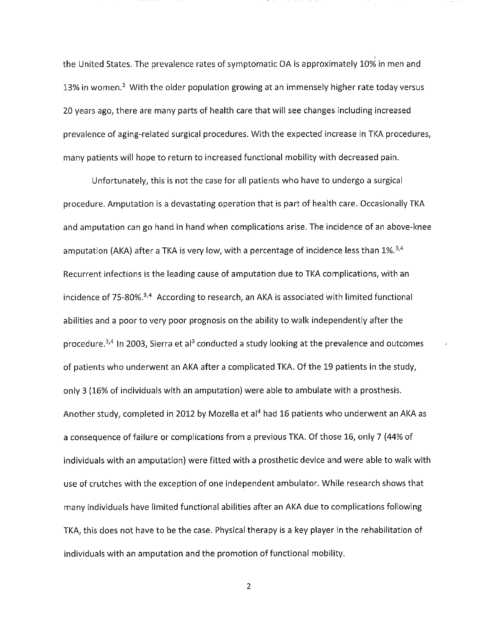the United States. The prevalence rates of symptomatic OA is approximately 10% in men and 13% in women.<sup>2</sup> With the older population growing at an immensely higher rate today versus 20 years ago, there are many parts of health care that will see changes including increased prevalence of aging-related surgical procedures. With the expected increase in TKA procedures, many patients will hope to return to increased functional mobility with decreased pain.

,

Unfortunately, this is not the case for all patients who have to undergo a surgical procedure. Amputation is a devastating operation that is part of health care. Occasionally TKA and amputation can go hand in hand when complications arise. The incidence of an above-knee amputation (AKA) after a TKA is very low, with a percentage of incidence less than  $1\%$ <sup>3,4</sup> Recurrent infections is the leading cause of amputation due to TKA complications, with an incidence of 75-80%.<sup>3,4</sup> According to research, an AKA is associated with limited functional abilities and a poor to very poor prognosis on the ability to walk independently after the procedure.<sup>3,4</sup> In 2003, Sierra et al<sup>3</sup> conducted a study looking at the prevalence and outcomes of patients who underwent an AKA after a complicated TKA. Of the 19 patients in the study, only 3 (16% of individuals with an amputation) were able to ambulate with a prosthesis. Another study, completed **in** 2012 by Mozella et al4 had 16 patients who underwent an AKA as a consequence of failure or complications from a previous TKA. Of those 16, only 7 (44% of individuals with an amputation) were fitted with a prosthetic device and were able to walk with use of crutches with the exception of one independent ambulator. While research shows that many individuals have limited functional abilities after an AKA due to complications following TKA, this does not have to be the case. Physical therapy is a key player in the rehabilitation of individuals with an amputation and the promotion of functional mobility.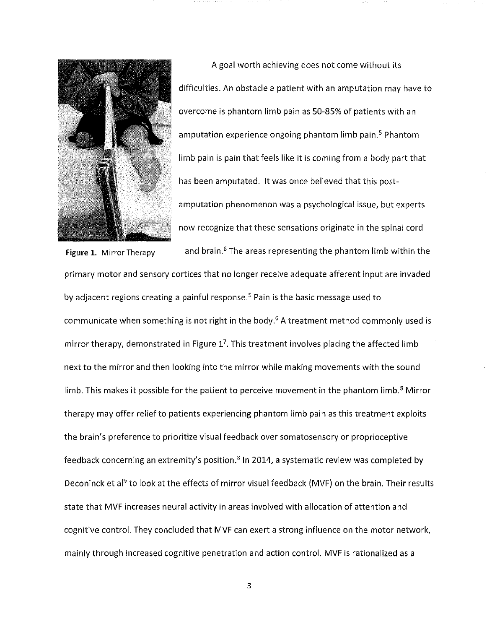

A goal worth achieving does not come without its difficulties. An obstacle a patient with an amputation may have to overcome is phantom limb pain as 50-85% of patients with an amputation experience ongoing phantom limb pain.<sup>5</sup> Phantom limb pain is pain that feels like it is coming from a body part that has been amputated. It was once believed that this postamputation phenomenon was a psychological issue, but experts now recognize that these sensations originate in the spinal cord

and brain.<sup>6</sup> The areas representing the phantom limb within the

primary motor and sensory cortices that no longer receive adequate afferent input are invaded by adjacent regions creating a painful response.<sup>5</sup> Pain is the basic message used to communicate when something is not right in the body.<sup>6</sup> A treatment method commonly used is mirror therapy, demonstrated in Figure  $1<sup>7</sup>$ . This treatment involves placing the affected limb next to the mirror and then looking into the mirror while making movements with the sound limb. This makes it possible for the patient to perceive movement in the phantom limb.<sup>8</sup> Mirror therapy may offer relief to patients experiencing phantom limb pain as this treatment exploits the brain's preference to prioritize visual feedback over somatosensory or proprioceptive feedback concerning an extremity's position.<sup>8</sup> In 2014, a systematic review was completed by Deconinck et al<sup>9</sup> to look at the effects of mirror visual feedback (MVF) on the brain. Their results state that MVF increases neural activity in areas involved with allocation of attention and cognitive control. They concluded that MVF can exert a strong influence on the motor network, mainly through increased cognitive penetration and action control. MVF is rationalized as a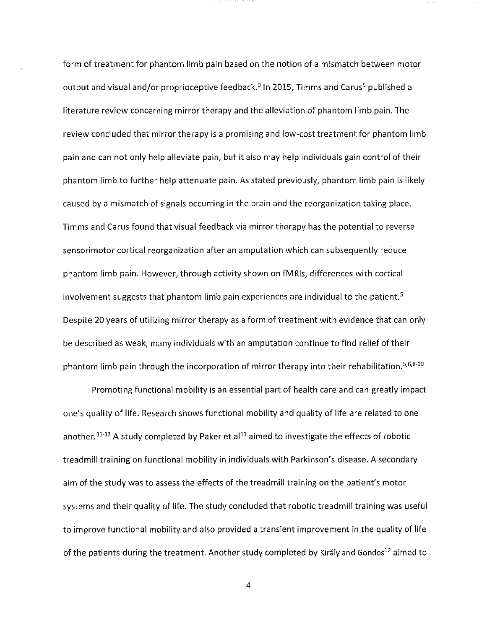form of treatment for phantom limb pain based on the notion of a mismatch between motor output and visual and/or proprioceptive feedback.<sup>9</sup> In 2015, Timms and Carus<sup>5</sup> published a literature review concerning mirror therapy and the alleviation of phantom limb pain. The review concluded that mirror therapy is a promising and low-cost treatment for phantom limb pain and can not only help alleviate pain, but it also may help individuals gain control of their phantom limb to further help attenuate pain. As stated previously, phantom limb pain is likely caused by a mismatch of signals occurring in the brain and the reorganization taking place. Timms and Carus found that visual feedback via mirror therapy has the potential to reverse sensorimotor cortical reorganization after an amputation which can subsequently reduce phantom limb pain. However, through activity shown on fMRls, differences with cortical involvement suggests that phantom limb pain experiences are individual to the patient.<sup>5</sup> Despite 20 years of utilizing mirror therapy as a form of treatment with evidence that can only be described as weak, many individuals with an amputation continue to find relief of their phantom limb pain through the incorporation of mirror therapy into their rehabilitation.<sup>5,6,8-10</sup>

Promoting functional mobility is an essential part of health care and can greatly impact one's quality of life. Research shows functional mobility and quality of life are related to one another.<sup>11-13</sup> A study completed by Paker et al<sup>11</sup> aimed to investigate the effects of robotic treadmill training on functional mobility in individuals with Parkinson's disease. A secondary aim of the study was to assess the effects of the treadmill training on the patient's motor systems and their quality of life. The study concluded that robotic treadmill training was useful to improve functional mobility and also provided a transient improvement in the quality of life of the patients during the treatment. Another study completed by Király and Gondos<sup>12</sup> aimed to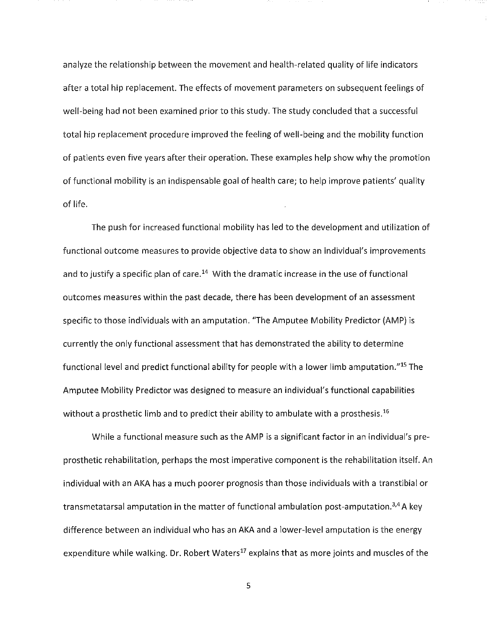analyze the relationship between the movement and health-related quality of life indicators after a total hip replacement. The effects of movement parameters on subsequent feelings of well-being had not been examined prior to this study. The study concluded that a successful total hip replacement procedure improved the feeling of well-being and the mobility function of patients even five years after their operation. These examples help show why the promotion of functional mobility is an indispensable goal of health care; to help improve patients' quality of life.

The push for increased functional mobility has led to the development and utilization of functional outcome measures to provide objective data to show an individual's improvements and to justify a specific plan of care.<sup>14</sup> With the dramatic increase in the use of functional outcomes measures within the past decade, there has been development of an assessment specific to those individuals with an amputation. "The Amputee Mobility Predictor (AMP) is currently the only functional assessment that has demonstrated the ability to determine functional level and predict functional ability for people with a lower limb amputation."<sup>15</sup> The Amputee Mobility Predictor was designed to measure an individual's functional capabilities without a prosthetic limb and to predict their ability to ambulate with a prosthesis.<sup>16</sup>

While a functional measure such as the AMP is a significant factor in an individual's preprosthetic rehabilitation, perhaps the most imperative component is the rehabilitation itself. An individual with an AKA has a much poorer prognosis than those individuals with a transtibial or transmetatarsal amputation in the matter of functional ambulation post-amputation.<sup>3,4</sup> A key difference between an individual who has an AKA and a lower-level amputation is the energy expenditure while walking. Dr. Robert Waters<sup>17</sup> explains that as more joints and muscles of the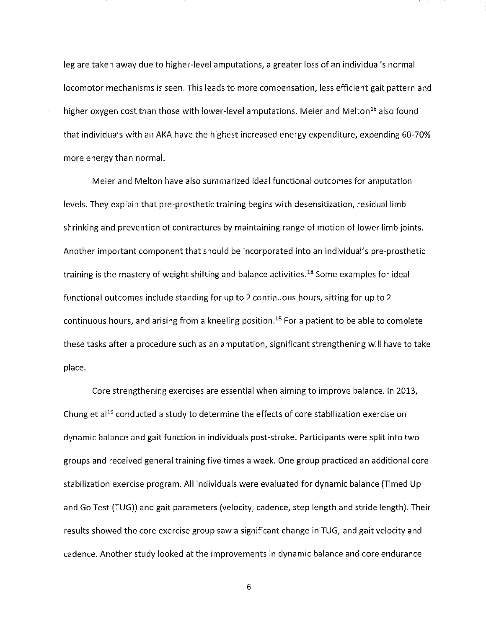leg are taken away due to higher-level amputations, a greater loss of an individual's normal locomotor mechanisms is seen. This leads to more compensation, less efficient gait pattern and higher oxygen cost than those with lower-level amputations. Meier and Melton<sup>18</sup> also found that individuals with an AKA have the highest increased energy expenditure, expending 60-70% more energy than normal.

Meier and Melton have also summarized ideal functional outcomes for amputation levels. They explain that pre-prosthetic training begins with desensitization, residual limb shrinking and prevention of contractures by maintaining range of motion of lower limb joints. Another important component that should be incorporated into an individual's pre-prosthetic training is the mastery of weight shifting and balance activities.<sup>18</sup> Some examples for ideal functional outcomes include standing for up to 2 continuous hours, sitting for up to 2 continuous hours, and arising from a kneeling position.<sup>18</sup> For a patient to be able to complete these tasks after a procedure such as an amputation, significant strengthening will have to take place.

Core strengthening exercises are essential when aiming to improve balance. **In** 2013, Chung et al<sup>19</sup> conducted a study to determine the effects of core stabilization exercise on dynamic balance and gait function in individuals post-stroke. Participants were split into two groups and received general training five times a week. One group practiced an additional core stabilization exercise program. **All** individuals were evaluated for dynamic balance (Timed Up and Go Test (TUG)) and gait parameters (velocity, cadence, step length and stride length). Their results showed the core exercise group saw a significant change in TUG, and gait velocity and cadence. Another study looked at the improvements in dynamic balance and core endurance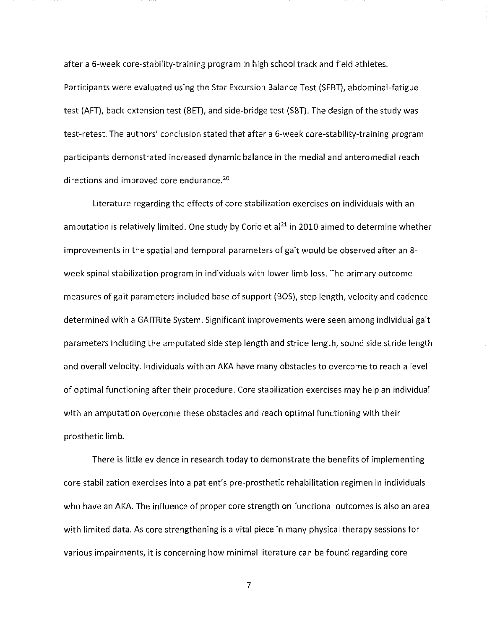after a 6-week core-stability-training program in high school track and field athletes. Participants were evaluated using the Star Excursion Balance Test (5EBT), abdominal-fatigue test (AFT), back-extension test (BET), and side-bridge test (SBT). The design of the study was test-retest. The authors' conclusion stated that after a 6-week core-stability-training program participants demonstrated increased dynamic balance in the medial and anteromedial reach directions and improved core endurance.<sup>20</sup>

Literature regarding the effects of core stabilization exercises on individuals with an amputation is relatively limited. One study by Corio et al<sup>21</sup> in 2010 aimed to determine whether improvements in the spatial and temporal parameters of gait would be observed after an 8 week spinal stabilization program in individuals with lower limb loss. The primary outcome measures of gait parameters included base of support (BOS), step length, velocity and cadence determined with a GAITRite System. Significant improvements were seen among individual gait parameters including the amputated side step length and stride length, sound side stride length and overall velocity. Individuals with an AKA have many obstacles to overcome to reach a level of optimal functioning after their procedure. Core stabilization exercises may help an individual with an amputation overcome these obstacles and reach optimal functioning with their prosthetic limb.

There is little evidence in research today to demonstrate the benefits of implementing core stabilization exercises into a patient's pre-prosthetic rehabilitation regimen in individuals who have an AKA. The influence of proper core strength on functional outcomes is also an area with limited data. As core strengthening is a vital piece in many physical therapy sessions for various impairments, it is concerning how minimal literature can be found regarding core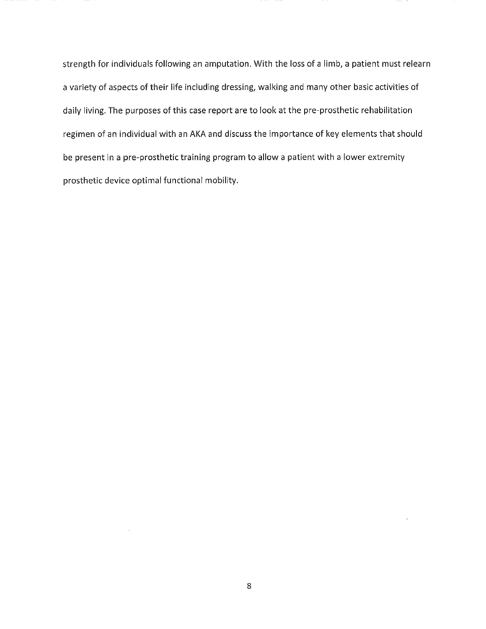strength for individuals following an amputation. With the loss of a limb, a patient must relearn a variety of aspects of their life including dressing, walking and many other basic activities of daily living. The purposes of this case report are to look at the pre-prosthetic rehabilitation regimen of an individual with an AKA and discuss the importance of key elements that should be present in a pre-prosthetic training program to allow a patient with a lower extremity prosthetic device optimal functional mobility.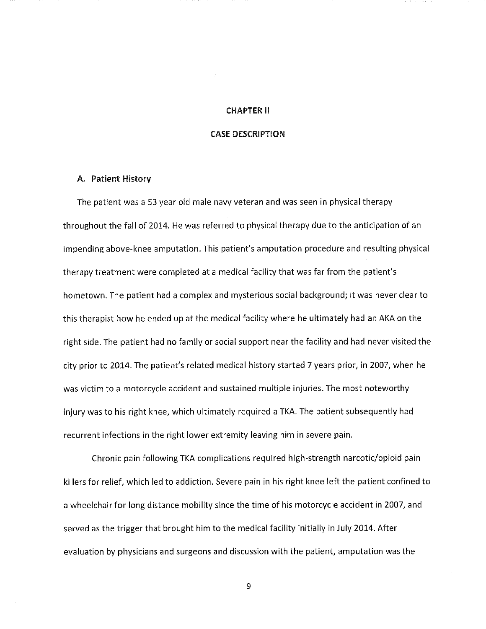#### CHAPTER II

#### CASE DESCRIPTION

#### A. Patient History

The patient was a 53 year old male navy veteran and was seen in physical therapy throughout the fall of 2014. He was referred to physical therapy due to the anticipation of an impending above-knee amputation. This patient's amputation procedure and resulting physical therapy treatment were completed at a medical facility that was far from the patient's hometown. The patient had a complex and mysterious social background; it was never clear to this therapist how he ended up at the medical facility where he ultimately had an AKA on the right side. The patient had no family or social support near the facility and had never visited the city prior to 2014. The patient's related medical history started 7 years prior, in 2007, when he was victim to a motorcycle accident and sustained multiple injuries. The most noteworthy injury was to his right knee, which ultimately required a TKA. The patient subsequently had recurrent infections in the right lower extremity leaving him in severe pain.

Chronic pain following TKA complications required high-strength narcotic/opioid pain killers for relief, which led to addiction. Severe pain in his right knee left the patient confined to a wheelchair for long distance mobility since the time of his motorcycle accident in 2007, and served as the trigger that brought him to the medical facility initially in July 2014. After evaluation by physicians and surgeons and discussion with the patient, amputation was the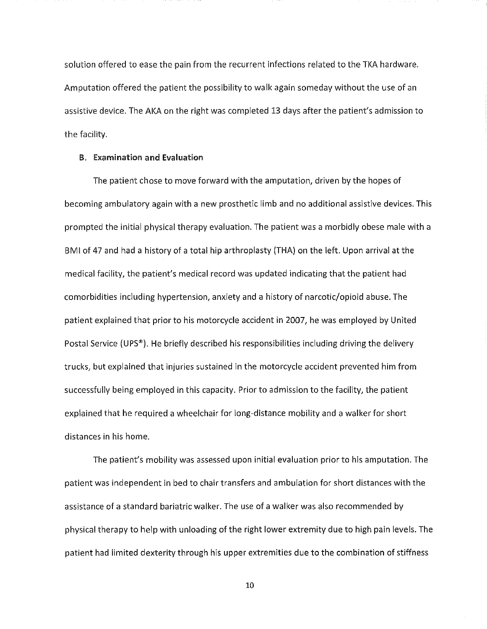solution offered to ease the pain from the recurrent infections related to the TKA hardware. Amputation offered the patient the possibility to walk again someday without the use of an assistive device. The AKA on the right was completed 13 days after the patient's admission to the facility.

#### B. Examination and Evaluation

The patient chose to move forward with the amputation, driven by the hopes of becoming ambulatory again with a new prosthetic limb and no additional assistive devices. This prompted the initial physical therapy evaluation. The patient was a morbidly obese male with a BMI of 47 and had a history of a total hip arthroplasty (THA) on the left. Upon arrival at the medical facility, the patient's medical record was updated indicating that the patient had comorbidities including hypertension, anxiety and a history of narcotic/opioid abuse. The patient explained that prior to his motorcycle accident in 2007, he was employed by United Postal Service (UPS®). He briefly described his responsibilities including driving the delivery trucks, but explained that injuries sustained in the motorcycle accident prevented him from successfully being employed in this capacity. Prior to admission to the facility, the patient explained that he required a wheelchair for long-distance mobility and a walker for short distances in his home.

The patient's mobility was assessed upon initial evaluation prior to his amputation. The patient was independent in bed to chair transfers and ambulation for short distances with the assistance of a standard bariatric walker. The use of a walker was also recommended by physical therapy to help with unloading of the right lower extremity due to high pain levels. The patient had limited dexterity through his upper extremities due to the combination of stiffness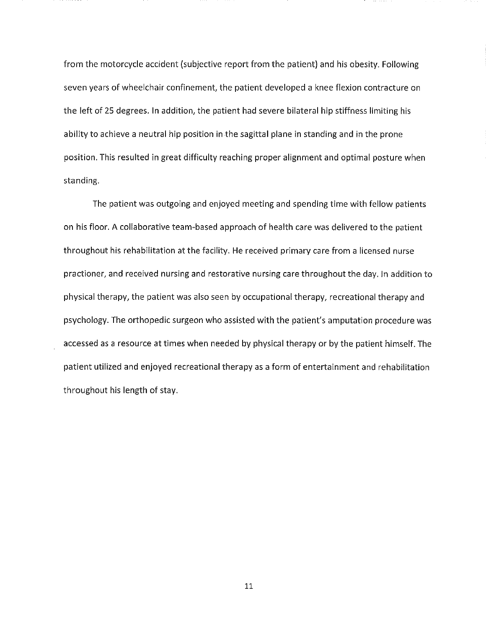from the motorcycle accident (subjective report from the patient) and his obesity, Following seven years of wheelchair confinement, the patient developed a knee flexion contracture on the left of 25 degrees, In addition, the patient had severe bilateral hip stiffness limiting his ability to achieve a neutral hip position in the sagittal plane in standing and in the prone position, This resulted in great difficulty reaching proper alignment and optimal posture when standing,

The patient was outgoing and enjoyed meeting and spending time with fellow patients on his floor. A collaborative team-based approach of health care was delivered to the patient throughout his rehabilitation at the facility, He received primary care from a licensed nurse practioner, and received nursing and restorative nursing care throughout the day, In addition to physical therapy, the patient was also seen by occupational therapy, recreational therapy and psychology, The orthopedic surgeon who assisted with the patient's amputation procedure was accessed as a resource at times when needed by physical therapy or by the patient himself. The patient utilized and enjoyed recreational therapy as a form of entertainment and rehabilitation throughout his length of stay,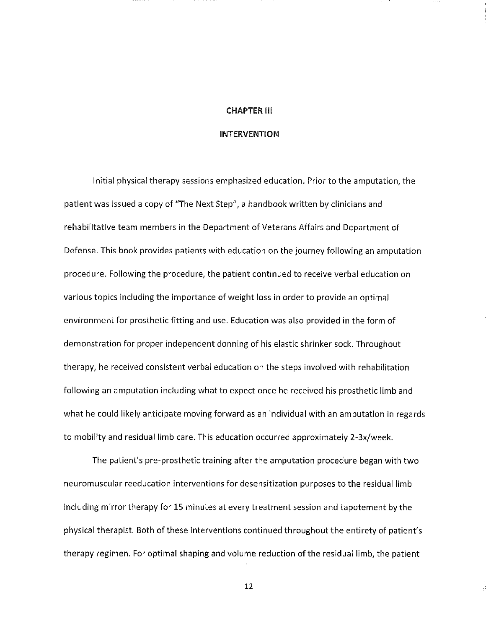#### CHAPTER III

#### INTERVENTION

Initial physical therapy sessions emphasized education. Prior to the amputation, the patient was issued a copy of "The Next Step", a handbook written by clinicians and rehabilitative team members in the Department of Veterans Affairs and Department of Defense. This book provides patients with education on the journey following an amputation procedure. Following the procedure, the patient continued to receive verbal education on various topics including the importance of weight loss in order to provide an optimal environment for prosthetic fitting and use. Education was also provided in the form of demonstration for proper independent donning of his elastic shrinker sock. Throughout therapy, he received consistent verbal education on the steps involved with rehabilitation following an amputation including what to expect once he received his prosthetic limb and what he could likely anticipate moving forward as an individual with an amputation in regards to mobility and residual limb care. This education occurred approximately 2-3x/week.

The patient's pre-prosthetic training after the amputation procedure began with two neuromuscular reeducation interventions for desensitization purposes to the residual limb including mirror therapy for 15 minutes at every treatment session and tapotement by the physical therapist. Both of these interventions continued throughout the entirety of patient's therapy regimen. For optimal shaping and volume reduction of the residual limb, the patient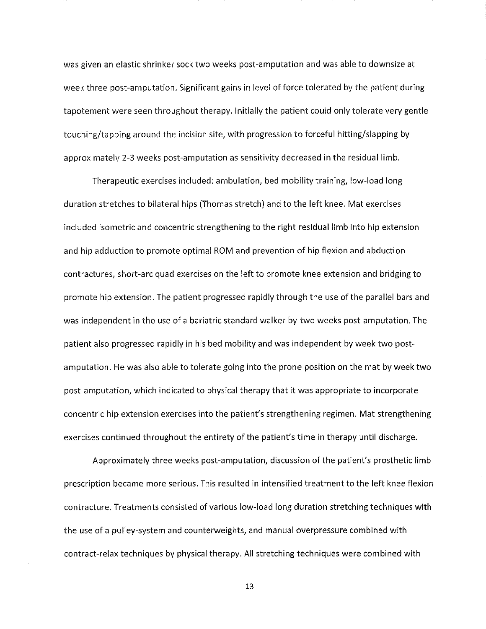was given an elastic shrinker sock two weeks post-amputation and was able to downsize at week three post-amputation. Significant gains in level of force tolerated by the patient during tapotement were seen throughout therapy. Initially the patient could only tolerate very gentle touching/tapping around the incision site, with progression to forceful hitting/slapping by approximately 2-3 weeks post-amputation as sensitivity decreased in the residual limb.

Therapeutic exercises included: ambulation, bed mobility training, low-load long duration stretches to bilateral hips (Thomas stretch) and to the left knee. Mat exercises included isometric and concentric strengthening to the right residual limb into hip extension and hip adduction to promote optimal ROM and prevention of hip flexion and abduction contractures, short-arc quad exercises on the left to promote knee extension and bridging to promote hip extension. The patient progressed rapidly through the use of the parallel bars and was independent in the use of a bariatric standard walker by two weeks post-amputation. The patient also progressed rapidly in his bed mobility and was independent by week two postamputation. He was also able to tolerate going into the prone position on the mat by week two post-amputation, which indicated to physical therapy that it was appropriate to incorporate concentric hip extension exercises into the patient's strengthening regimen. Mat strengthening exercises continued throughout the entirety of the patient's time in therapy until discharge.

Approximately three weeks post-amputation, discussion of the patient's prosthetic limb prescription became more serious. This resulted in intensified treatment to the left knee flexion contracture. Treatments consisted of various low-load long duration stretching techniques with the use of a pUlley-system and counterweights, and manual overpressure combined with contract-relax techniques by physical therapy. All stretching techniques were combined with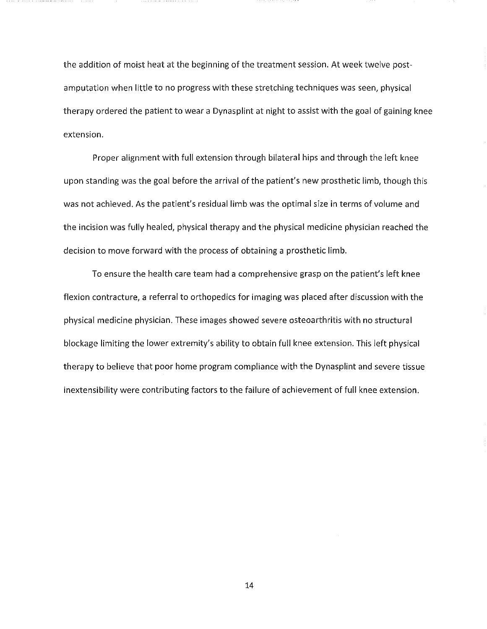the addition of moist heat at the beginning of the treatment session. At week twelve postamputation when little to no progress with these stretching techniques was seen, physical therapy ordered the patient to wear a Dynasplint at night to assist with the goal of gaining knee extension.

Proper alignment with full extension through bilateral hips and through the left knee upon standing was the goal before the arrival of the patient's new prosthetic limb, though this was not achieved. As the patient's residual limb was the optimal size **in** terms of volume and the incision was fully healed, physical therapy and the physical medicine physician reached the decision to move forward with the process of obtaining a prosthetic limb.

To ensure the health care team had a comprehensive grasp on the patient's left knee flexion contracture, a referral to orthopedics for imaging was placed after discussion with the physical medicine physician. These images showed severe osteoarthritis with no structural blockage limiting the lower extremity's ability to obtain full knee extension. This left physical therapy to believe that poor home program compliance with the Dynasplint and severe tissue inextensibility were contributing factors to the failure of achievement of full knee extension.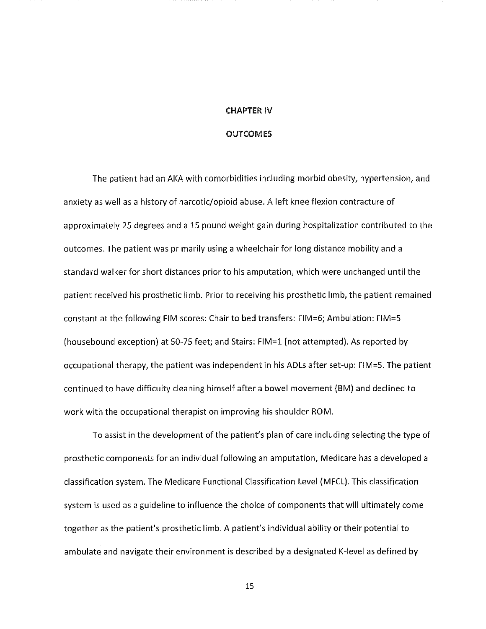#### CHAPTER IV

#### **OUTCOMES**

The patient had an AKA with comorbidities including morbid obesity, hypertension, and anxiety as well as a history of narcotic/opioid abuse. A left knee flexion contracture of approximately 25 degrees and a 15 pound weight gain during hospitalization contributed to the outcomes. The patient was primarily using a wheelchair for long distance mobility and a standard walker for short distances prior to his amputation, which were unchanged until the patient received his prosthetic limb. Prior to receiving his prosthetic limb, the patient remained constant at the following FIM scores: Chair to bed transfers: FIM=6; Ambulation: FIM=5 (housebound exception) at 50-75 feet; and Stairs: FIM=l (not attempted). As reported by occupational therapy, the patient was independent in his ADLs after set-up: FIM=S. The patient continued to have difficulty cleaning himself after a bowel movement (8M) and declined to work with the occupational therapist on improving his shoulder ROM.

To assist in the development of the patient's plan of care including selecting the type of prosthetic components for an individual following an amputation, Medicare has a developed a classification system, The Medicare Functional Classification Level (MFCL). This classification system is used as a guideline to influence the choice of components that will ultimately come together as the patient's prosthetic limb. A patient's individual ability or their potential to ambulate and navigate their environment is described by a designated K-Ievel as defined by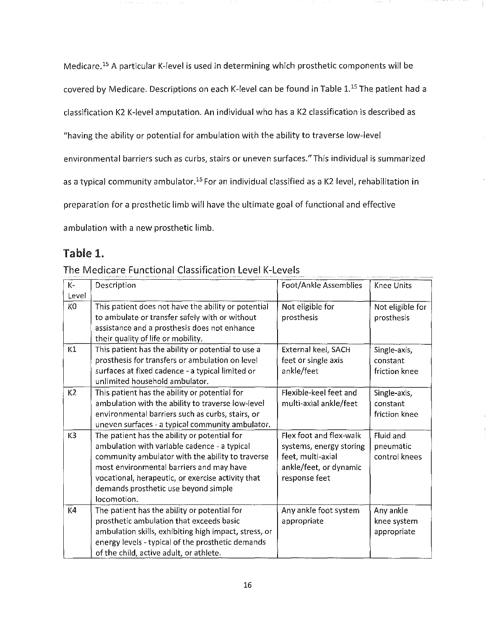Medicare.15 A particular K-Ievel is used in determining which prosthetic components will be covered by Medicare. Descriptions on each K-level can be found in Table 1.<sup>15</sup> The patient had a classification K2 K-Ievel amputation. An individual who has a K2 classification is described as "having the ability or potential for ambulation with the ability to traverse low-level environmental barriers such as curbs, stairs or uneven surfaces." This individual is summarized as a typical community ambulator.<sup>15</sup> For an individual classified as a K2 level, rehabilitation in preparation for a prosthetic limb will have the ultimate goal of functional and effective ambulation with a new prosthetic limb.

# Table 1.

| $K-$           | Description                                           | Foot/Ankle Assemblies   | Knee Units       |
|----------------|-------------------------------------------------------|-------------------------|------------------|
| Level          |                                                       |                         |                  |
| K0             | This patient does not have the ability or potential   | Not eligible for        | Not eligible for |
|                | to ambulate or transfer safely with or without        | prosthesis              | prosthesis       |
|                | assistance and a prosthesis does not enhance          |                         |                  |
|                | their quality of life or mobility.                    |                         |                  |
| K1             | This patient has the ability or potential to use a    | External keel, SACH     | Single-axis,     |
|                | prosthesis for transfers or ambulation on level       | feet or single axis     | constant         |
|                | surfaces at fixed cadence - a typical limited or      | ankle/feet              | friction knee    |
|                | unlimited household ambulator.                        |                         |                  |
| K <sub>2</sub> | This patient has the ability or potential for         | Flexible-keel feet and  | Single-axis,     |
|                | ambulation with the ability to traverse low-level     | multi-axial ankle/feet  | constant         |
|                | environmental barriers such as curbs, stairs, or      |                         | friction knee    |
|                | uneven surfaces - a typical community ambulator.      |                         |                  |
| K3             | The patient has the ability or potential for          | Flex foot and flex-walk | Fluid and        |
|                | ambulation with variable cadence - a typical          | systems, energy storing | pneumatic        |
|                | community ambulator with the ability to traverse      | feet, multi-axial       | control knees    |
|                | most environmental barriers and may have              | ankle/feet, or dynamic  |                  |
|                | vocational, herapeutic, or exercise activity that     | response feet           |                  |
|                | demands prosthetic use beyond simple                  |                         |                  |
|                | locomotion.                                           |                         |                  |
| K <sub>4</sub> | The patient has the ability or potential for          | Any ankle foot system   | Any ankle        |
|                | prosthetic ambulation that exceeds basic              | appropriate             | knee system      |
|                | ambulation skills, exhibiting high impact, stress, or |                         | appropriate      |
|                | energy levels - typical of the prosthetic demands     |                         |                  |
|                | of the child, active adult, or athlete.               |                         |                  |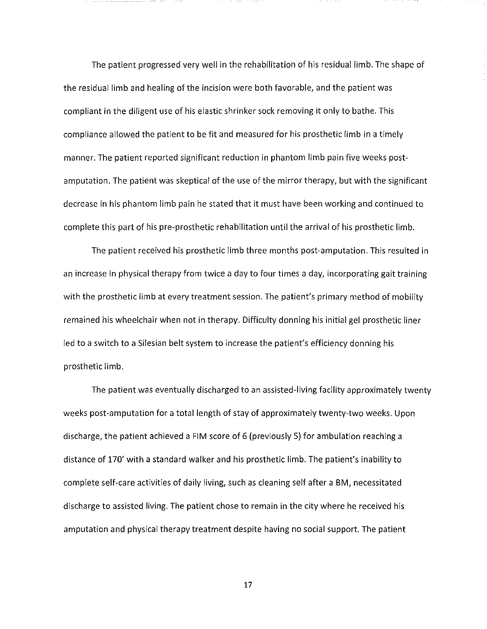The patient progressed very well in the rehabilitation of his residual limb. The shape of the residual limb and healing of the incision were both favorable, and the patient was compliant in the diligent use of his elastic shrinker sock removing it only to bathe. This compliance allowed the patient to be fit and measured for his prosthetic limb in a timely manner. The patient reported significant reduction in phantom limb pain five weeks postamputation. The patient was skeptical of the use of the mirror therapy, but with the significant decrease in his phantom limb pain he stated that it must have been working and continued to complete this part of his pre-prosthetic rehabilitation until the arrival of his prosthetic limb.

The patient received his prosthetic limb three months post-amputation. This resulted in an increase in physical therapy from twice a day to four times a day, incorporating gait training with the prosthetic limb at every treatment session. The patient's primary method of mobility remained his wheelchair when not in therapy. Difficulty donning his initial gel prosthetic liner led to a switch to a Silesian belt system to increase the patient's efficiency donning his prosthetic limb.

The patient was eventually discharged to an assisted-living facility approximately twenty weeks post-amputation for a total length of stay of approximately twenty-two weeks. Upon discharge, the patient achieved a FIM score of 6 (previously 5) for ambulation reaching a distance of 170' with a standard walker and his prosthetic limb. The patient's inability to complete self-care activities of daily living, such as cleaning self after a BM, necessitated discharge to assisted living. The patient chose to remain in the city where he received his amputation and physical therapy treatment despite having no social support. The patient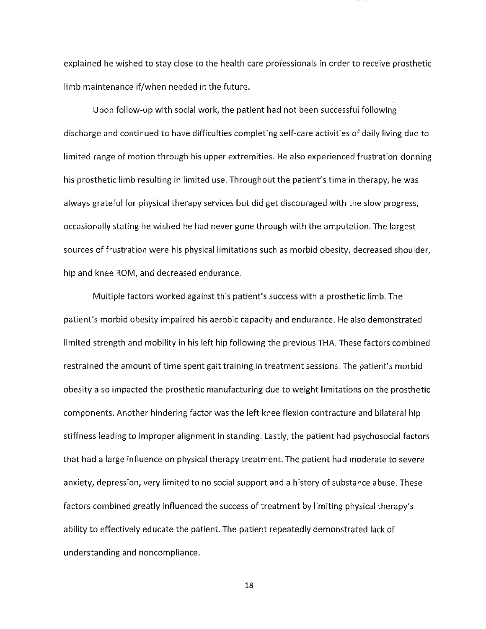explained he wished to stay close to the health care professionals in order to receive prosthetic limb maintenance if/when needed in the future.

Upon follow-up with social work, the patient had not been successful following discharge and continued to have difficulties completing self-care activities of daily living due to limited range of motion through his upper extremities. He also experienced frustration donning his prosthetic limb resulting in limited use. Throughout the patient's time in therapy, he was always grateful for physical therapy services but did get discouraged with the slow progress, occasionally stating he wished he had never gone through with the amputation. The largest sources of frustration were his physical limitations such as morbid obesity, decreased shoulder, hip and knee ROM, and decreased endurance.

Multiple factors worked against this patient's success with a prosthetic limb. The patient's morbid obesity impaired his aerobic capacity and endurance. He also demonstrated limited strength and mobility in his left hip following the previous THA. These factors combined restrained the amount of time spent gait training in treatment sessions. The patient's morbid obesity also impacted the prosthetic manufacturing due to weight limitations on the prosthetic components. Another hindering factor was the left knee flexion contracture and bilateral hip stiffness leading to improper alignment in standing. Lastly, the patient had psychosocial factors that had a large influence on physical therapy treatment. The patient had moderate to severe anxiety, depression, very limited to no social support and a history of substance abuse. These factors combined greatly influenced the success of treatment by limiting physical therapy's ability to effectively educate the patient. The patient repeatedly demonstrated lack of understanding and noncompliance.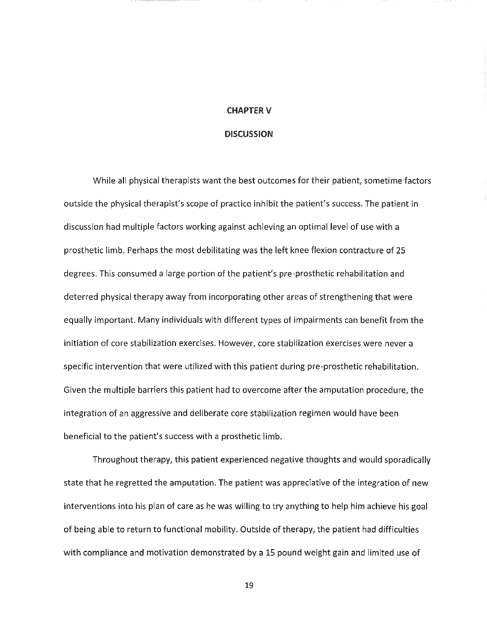#### CHAPTER V

#### **DISCUSSION**

While all physical therapists want the best outcomes for their patient, sometime factors outside the physical therapist's scope of practice inhibit the patient's success. The patient in discussion had mUltiple factors working against achieving an optimal level of use with a prosthetic limb. Perhaps the most debilitating was the left knee flexion contracture of 25 degrees. This consumed a large portion of the patient's pre-prosthetic rehabilitation and deterred physical therapy away from incorporating other areas of strengthening that were equally important. Many individuals with different types of impairments can benefit from the initiation of core stabilization exercises. However, core stabilization exercises were never a specific intervention that were utilized with this patient during pre-prosthetic rehabilitation. Given the multiple barriers this patient had to overcome after the amputation procedure, the integration of an aggressive and deliberate core stabilization regimen would have been beneficial to the patient's success with a prosthetic limb.

Throughout therapy, this patient experienced negative thoughts and would sporadically state that he regretted the amputation. The patient was appreciative of the integration of new interventions into his plan of care as he was willing to try anything to help him achieve his goal of being able to return to functional mobility. Outside of therapy, the patient had difficulties with compliance and motivation demonstrated by a 15 pound weight gain and limited use of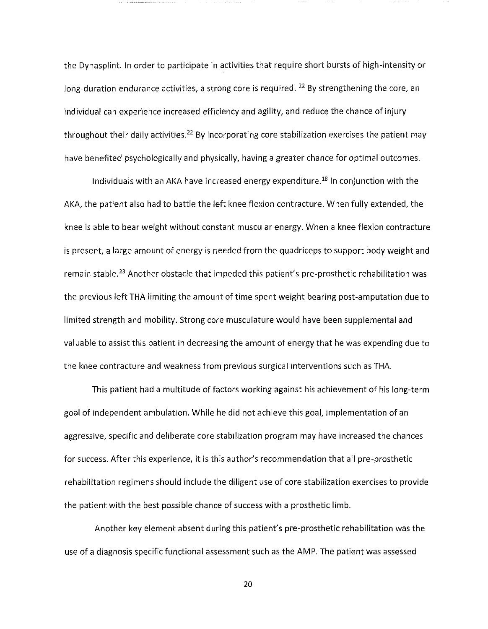the Dynasplint. In order to participate in activities that require short bursts of high-intensity or long-duration endurance activities, a strong core is required. <sup>22</sup> By strengthening the core, an individual can experience increased efficiency and agility, and reduce the chance of injury throughout their daily activities.<sup>22</sup> By incorporating core stabilization exercises the patient may have benefited psychologically and physically, having a greater chance for optimal outcomes.

Individuals with an AKA have increased energy expenditure.<sup>18</sup> In conjunction with the AKA, the patient also had to battle the left knee flexion contracture. When fully extended, the knee is able to bear weight without constant muscular energy. When a knee flexion contracture is present, a large amount of energy is needed from the quadriceps to support body weight and remain stable.<sup>23</sup> Another obstacle that impeded this patient's pre-prosthetic rehabilitation was the previous left THA limiting the amount of time spent weight bearing post-amputation due to limited strength and mobility. Strong core musculature would have been supplemental and valuable to assist this patient in decreasing the amount of energy that he was expending due to the knee contracture and weakness from previous surgical interventions such as THA.

This patient had a multitude of factors working against his achievement of his long-term goal of independent ambulation. While he did not achieve this goal, implementation of an aggressive, specific and deliberate core stabilization program may have increased the chances for success. After this experience, it is this author's recommendation that all pre-prosthetic rehabilitation regimens should include the diligent use of core stabilization exercises to provide the patient with the best possible chance of success with a prosthetic limb.

Another key element absent during this patient's pre-prosthetic rehabilitation was the use of a diagnosis specific functional assessment such as the AMP. The patient was assessed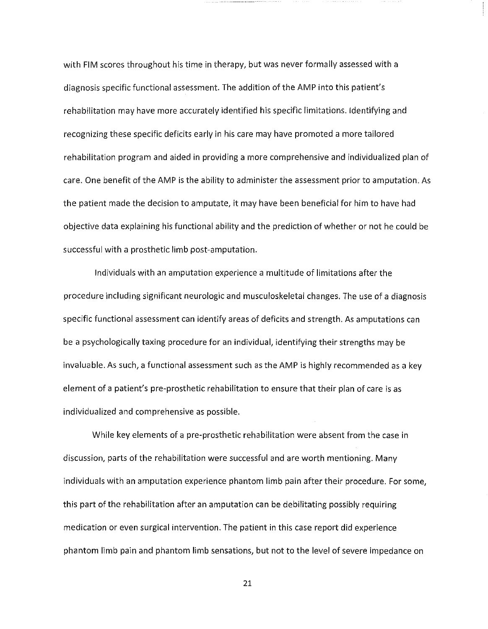with FIM scores throughout his time in therapy, but was never formally assessed with a diagnosis specific functional assessment. The addition of the AMP into this patient's rehabilitation may have more accurately identified his specific limitations. Identifying and recognizing these specific deficits early in his care may have promoted a more tailored rehabilitation program and aided in providing a more comprehensive and individualized plan of care. One benefit of the AMP is the ability to administer the assessment prior to amputation. As the patient made the decision to amputate, it may have been beneficial for him to have had objective data explaining his functional ability and the prediction of whether or not he could be successful with a prosthetic limb post-amputation.

Individuals with an amputation experience a multitude of limitations after the procedure including significant neurologic and musculoskeletal changes. The use of a diagnosis specific functional assessment can identify areas of deficits and strength. As amputations can be a psychologically taxing procedure for an individual, identifying their strengths may be invaluable. As such, a functional assessment such as the AMP is highly recommended as a key element of a patient's pre-prosthetic rehabilitation to ensure that their plan of care is as individualized and comprehensive as possible.

While key elements of a pre-prosthetic rehabilitation were absent from the case in discussion, parts of the rehabilitation were successful and are worth mentioning. Many individuals with an amputation experience phantom limb pain after their procedure. For some, this part of the rehabilitation after an amputation can be debilitating possibly requiring medication or even surgical intervention. The patient in this case report did experience phantom limb pain and phantom limb sensations, but not to the level of severe impedance on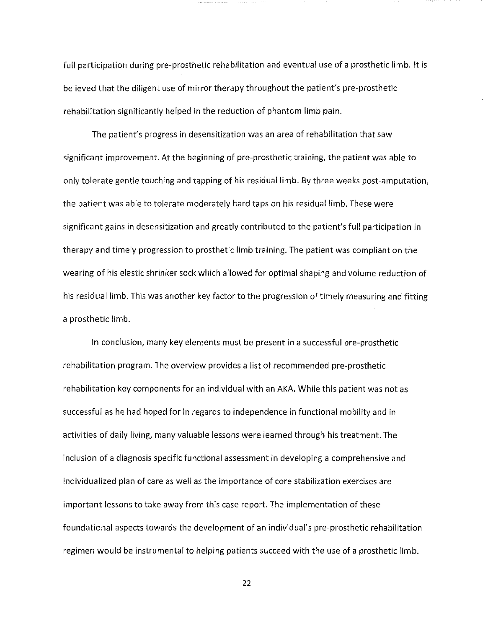full participation during pre-prosthetic rehabilitation and eventual use of a prosthetic limb. It is believed that the diligent use of mirror therapy throughout the patient's pre-prosthetic rehabilitation significantly helped in the reduction of phantom limb pain.

The patient's progress in desensitization was an area of rehabilitation that saw significant improvement. At the beginning of pre-prosthetic training, the patient was able to only tolerate gentle touching and tapping of his residual limb. By three weeks post-amputation, the patient was able to tolerate moderately hard taps on his residual limb. These were significant gains in desensitization and greatly contributed to the patient's full participation in therapy and timely progression to prosthetic limb training. The patient was compliant on the wearing of his elastic shrinker sock which allowed for optimal shaping and volume reduction of his residual limb. This was another key factor to the progression of timely measuring and fitting a prosthetic limb.

In conclusion, many key elements must be present in a successful pre-prosthetic rehabilitation program. The overview provides a list of recommended pre-prosthetic rehabilitation key components for an individual with an AKA. While this patient was not as successful as he had hoped for in regards to independence in functional mobility and in activities of daily living, many valuable lessons were learned through his treatment. The inclusion of a diagnosis specific functional assessment in developing a comprehensive and individualized plan of care as well as the importance of core stabilization exercises are important lessons to take away from this case report. The implementation of these foundational aspects towards the development of an individual's pre-prosthetic rehabilitation regimen would be instrumental to helping patients succeed with the use of a prosthetic limb.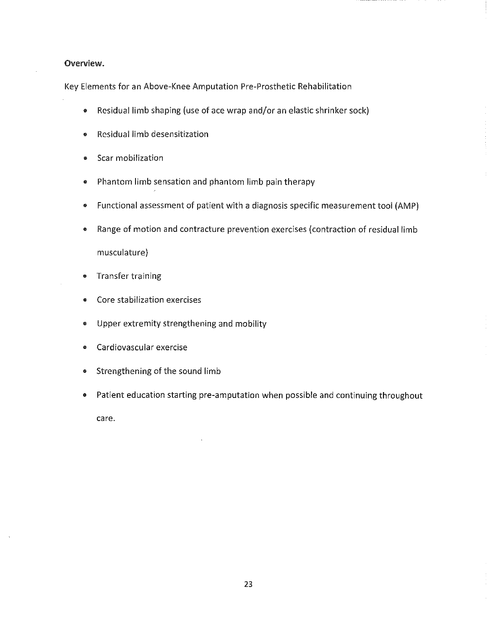### Overview.

Key Elements for an Above-Knee Amputation Pre-Prosthetic Rehabilitation

- Residual limb shaping (use of ace wrap and/or an elastic shrinker sock)
- Residual limb desensitization
- Scar mobilization
- Phantom limb sensation and phantom limb pain therapy
- Functional assessment of patient with a diagnosis specific measurement tool (AMP)
- Range of motion and contracture prevention exercises (contraction of residual limb

musculature)

- Transfer training
- Core stabilization exercises
- Upper extremity strengthening and mobility
- Cardiovascular exercise
- Strengthening of the sound limb
- Patient education starting pre-amputation when possible and continuing throughout

care.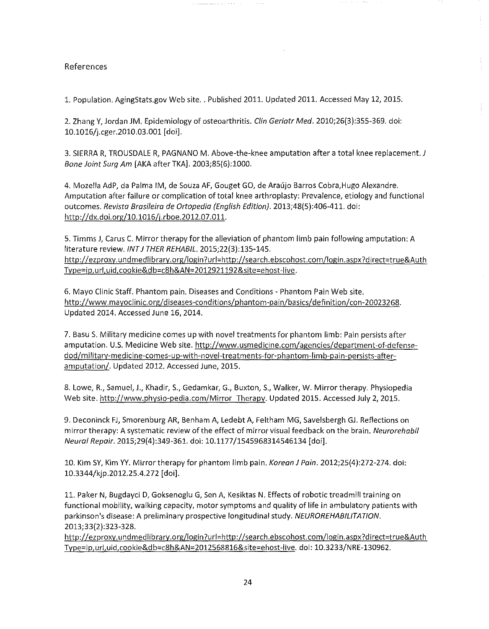### References

1. Population. AgingStats.gov Web site .. Published 2011. Updated 2011. Accessed May 12, 2015.

2. Zhang V, Jordan JM. Epidemiology of osteoarthritis. Clin Geriatr Med. 2010;26(3):355-369. doi: 10.1016/j.cger.2010.03.001 [doi].

3. SIERRA R, TROUSDALE R, PAGNANO M. Above-the-knee amputation after a total knee replacement. J Bone Joint Surg Am [AKA after TKA]. 2003;85(6):1000.

4. Mozella AdP, da Palma IM, de Souza AF, Gouget GO, de Araújo Barros Cobra, Hugo Alexandre. Amputation after failure or complication of total knee arthroplasty: Prevalence, etiology and functional outcomes. Revista Brasileira de Ortopedia (English Edition). 2013;48(5):406-411. doi: http://dx.doi.org/10.1016/j.rboe.2012.07.011.

5. Timms J, Carus C. Mirror therapy for the alleviation of phantom limb pain following amputation: A literature review. INT J THER REHABIL. 2015;22(3):135-145. http://ezproxy.undmedlibrary.org/login?url=http://search.ebscohost.com/login.aspx?direct=true&Auth Type=ip,url,uid,cookie&db=c8h&AN=2012921192&site=ehost-live.

6. Mayo Clinic Staff. Phantom pain. Diseases and Conditions - Phantom Pain Web site. http://www.mayoclinic.org/diseases-conditions/phantom-pain/basics/definition/con-20023268. Updated 2014. Accessed June 16,2014.

7. Basu S. Military medicine comes up with novel treatments for phantom limb: Pain persists after amputation. U.S. Medicine Web site. http://www.usmedicine.com/agencies/department-of-defensedod/military-medicine-comes-up-with-novel-treatments-for-phantom-limb-pain-persists-afteramputation/. Updated 2012. Accessed June, 2015.

8. Lowe, R., Samuel, J., Khadir, S., Gedamkar, G., Buxton, S., Walker, W. Mirror therapy. Physiopedia Web site. http://www.physio-pedia.com/Mirror Therapy. Updated 2015. Accessed July 2, 2015.

9. Deconinck FJ, Smorenburg AR, Benham A, Ledebt A, Feltham MG, Savelsbergh GJ. Reflections on mirror therapy: A systematic review of the effect of mirror visual feedback on the brain. Neurorehabil Neural Repair. 2015;29(4):349-361. doi: 10.1177/1545968314546134 [doi].

10. Kim SV, Kim YV. Mirror therapy for phantom limb pain. Korean J Pain. 2012;25(4):272-274. doi: 10.3344/kjp.2012.25.4.272 [doi].

11. Paker N, Bugdayci D, Goksenoglu G, Sen A, Kesiktas N. Effects of robotic treadmill training on functional mobility, walking capacity, motor symptoms and quality of life in ambulatory patients with parkinson's disease: A preliminary prospective longitudinal study. NEUROREHABILITATION. 2013;33(2):323-328.

http://ezproxy.undmedlibrary.org/login?url=http://search.ebscohost.com/login.aspx?direct=true&Auth Type=ip,url,uid,cookie&db=c8h&AN=2012568816&site=ehost-live. doi: 10.3233/NRE-130962.